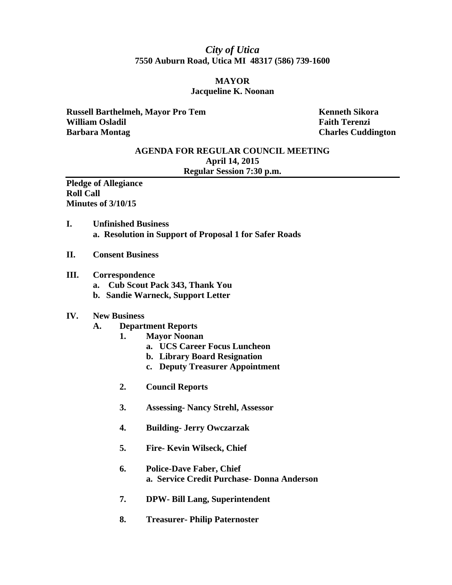# *City of Utica*  **7550 Auburn Road, Utica MI 48317 (586) 739-1600**

## **MAYOR Jacqueline K. Noonan**

**Russell Barthelmeh, Mayor Pro Tem Kenneth Sikora Kenneth Sikora William Osladil Faith Terenzi Faith Terenzi Barbara Montag Charles Cuddington Charles Cuddington** 

## **AGENDA FOR REGULAR COUNCIL MEETING April 14, 2015 Regular Session 7:30 p.m.**

**Pledge of Allegiance Roll Call Minutes of 3/10/15** 

- **I. Unfinished Business a. Resolution in Support of Proposal 1 for Safer Roads**
- **II. Consent Business**

#### **III. Correspondence**

- **a. Cub Scout Pack 343, Thank You**
- **b. Sandie Warneck, Support Letter**

### **IV. New Business**

- **A. Department Reports** 
	- **1. Mayor Noonan** 
		- **a. UCS Career Focus Luncheon**
		- **b. Library Board Resignation**
		- **c. Deputy Treasurer Appointment**
	- **2. Council Reports**
	- **3. Assessing- Nancy Strehl, Assessor**
	- **4. Building- Jerry Owczarzak**
	- **5. Fire- Kevin Wilseck, Chief**
	- **6. Police-Dave Faber, Chief a. Service Credit Purchase- Donna Anderson**
	- **7. DPW- Bill Lang, Superintendent**
	- **8. Treasurer- Philip Paternoster**